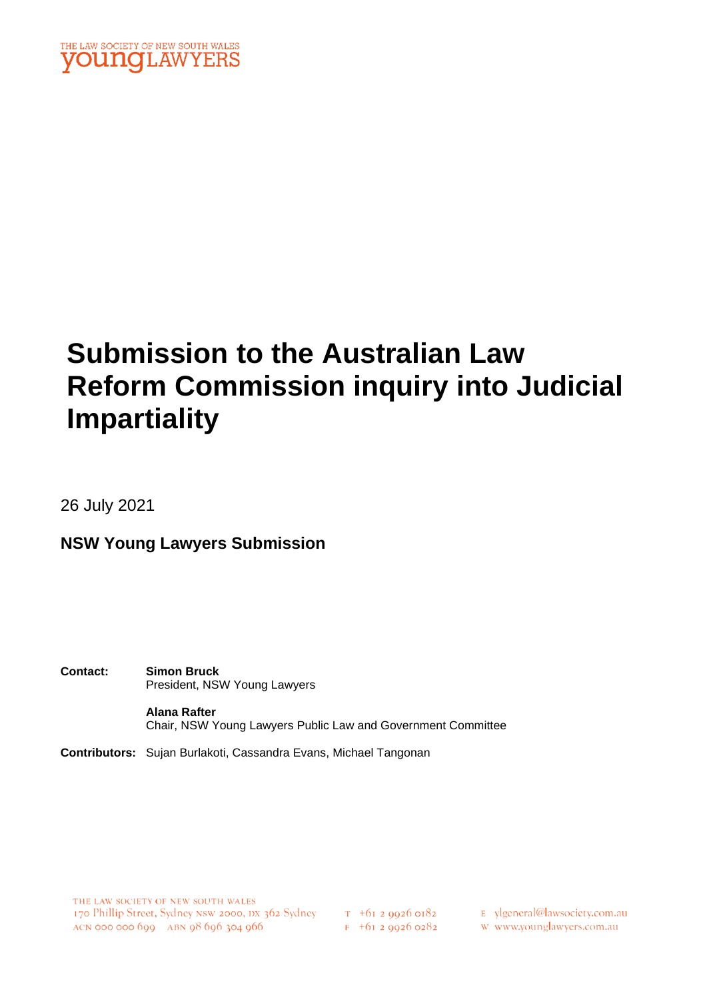

# **Submission to the Australian Law Reform Commission inquiry into Judicial Impartiality**

26 July 2021

**NSW Young Lawyers Submission**

**Contact: Simon Bruck** President, NSW Young Lawyers

> **Alana Rafter** Chair, NSW Young Lawyers Public Law and Government Committee

**Contributors:** Sujan Burlakoti, Cassandra Evans, Michael Tangonan

THE LAW SOCIETY OF NEW SOUTH WALES 170 Phillip Street, Sydney NSW 2000, DX 362 Sydney T +61 2 9926 0182 ACN 000 000 699 ABN 98 696 304 966

 $F$  +61 2 9926 0282

E ylgeneral@lawsociety.com.au

w www.younglawyers.com.au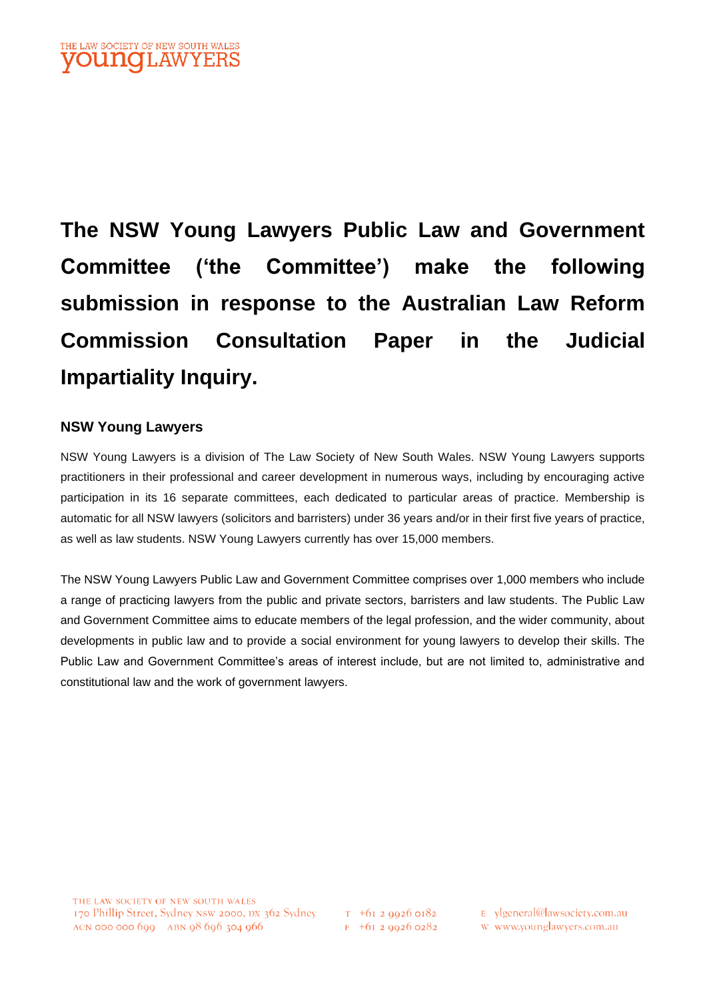**The NSW Young Lawyers Public Law and Government Committee ('the Committee') make the following submission in response to the Australian Law Reform Commission Consultation Paper in the Judicial Impartiality Inquiry.**

### **NSW Young Lawyers**

NSW Young Lawyers is a division of The Law Society of New South Wales. NSW Young Lawyers supports practitioners in their professional and career development in numerous ways, including by encouraging active participation in its 16 separate committees, each dedicated to particular areas of practice. Membership is automatic for all NSW lawyers (solicitors and barristers) under 36 years and/or in their first five years of practice, as well as law students. NSW Young Lawyers currently has over 15,000 members.

The NSW Young Lawyers Public Law and Government Committee comprises over 1,000 members who include a range of practicing lawyers from the public and private sectors, barristers and law students. The Public Law and Government Committee aims to educate members of the legal profession, and the wider community, about developments in public law and to provide a social environment for young lawyers to develop their skills. The Public Law and Government Committee's areas of interest include, but are not limited to, administrative and constitutional law and the work of government lawyers.

 $T$  +61 2 9926 0182  $F$  +61 2 9926 0282 E ylgeneral@lawsociety.com.au

w www.younglawyers.com.au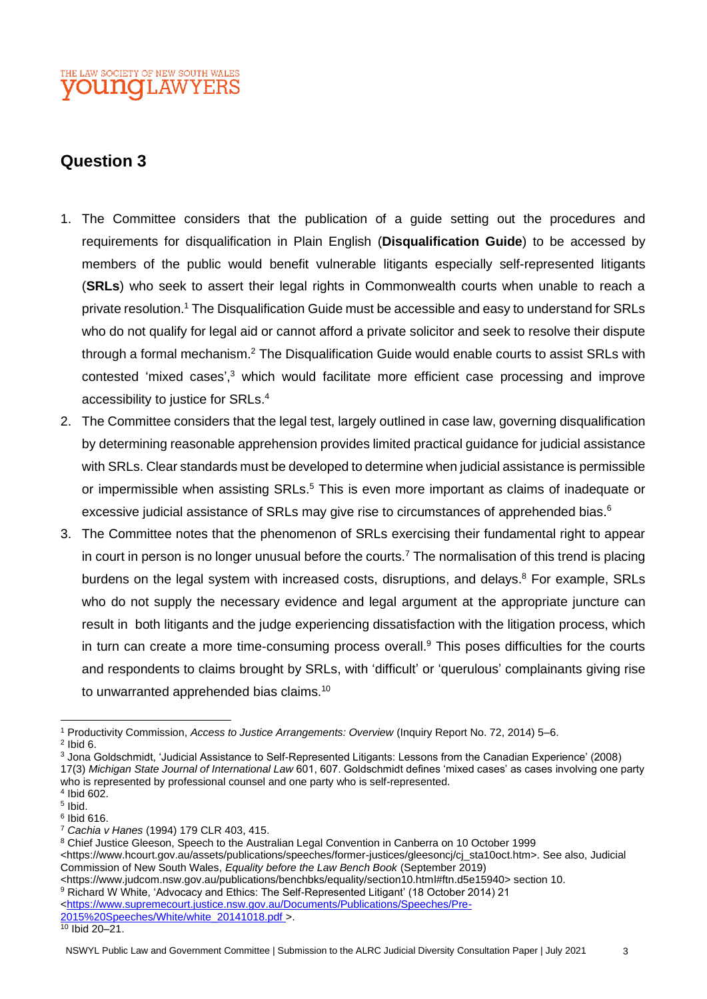# **Question 3**

- <span id="page-2-1"></span>1. The Committee considers that the publication of a guide setting out the procedures and requirements for disqualification in Plain English (**Disqualification Guide**) to be accessed by members of the public would benefit vulnerable litigants especially self-represented litigants (**SRLs**) who seek to assert their legal rights in Commonwealth courts when unable to reach a private resolution.<sup>1</sup> The Disqualification Guide must be accessible and easy to understand for SRLs who do not qualify for legal aid or cannot afford a private solicitor and seek to resolve their dispute through a formal mechanism.<sup>2</sup> The Disqualification Guide would enable courts to assist SRLs with contested 'mixed cases', <sup>3</sup> which would facilitate more efficient case processing and improve accessibility to justice for SRLs. 4
- 2. The Committee considers that the legal test, largely outlined in case law, governing disqualification by determining reasonable apprehension provides limited practical guidance for judicial assistance with SRLs. Clear standards must be developed to determine when judicial assistance is permissible or impermissible when assisting SRLs.<sup>5</sup> This is even more important as claims of inadequate or excessive judicial assistance of SRLs may give rise to circumstances of apprehended bias.<sup>6</sup>
- <span id="page-2-0"></span>3. The Committee notes that the phenomenon of SRLs exercising their fundamental right to appear in court in person is no longer unusual before the courts.<sup>7</sup> The normalisation of this trend is placing burdens on the legal system with increased costs, disruptions, and delays.<sup>8</sup> For example, SRLs who do not supply the necessary evidence and legal argument at the appropriate juncture can result in both litigants and the judge experiencing dissatisfaction with the litigation process, which in turn can create a more time-consuming process overall. <sup>9</sup> This poses difficulties for the courts and respondents to claims brought by SRLs, with 'difficult' or 'querulous' complainants giving rise to unwarranted apprehended bias claims.<sup>10</sup>

<sup>3</sup> Jona Goldschmidt, 'Judicial Assistance to Self-Represented Litigants: Lessons from the Canadian Experience' (2008) 17(3) *Michigan State Journal of International Law* 601, 607. Goldschmidt defines 'mixed cases' as cases involving one party who is represented by professional counsel and one party who is self-represented.

<sup>9</sup> Richard W White, 'Advocacy and Ethics: The Self-Represented Litigant' (18 October 2014) 21

[<https://www.supremecourt.justice.nsw.gov.au/Documents/Publications/Speeches/Pre-](https://www.supremecourt.justice.nsw.gov.au/Documents/Publications/Speeches/Pre-2015%20Speeches/White/white_20141018.pdf)[2015%20Speeches/White/white\\_20141018.pdf >](https://www.supremecourt.justice.nsw.gov.au/Documents/Publications/Speeches/Pre-2015%20Speeches/White/white_20141018.pdf).

<sup>1</sup> Productivity Commission, *Access to Justice Arrangements: Overview* (Inquiry Report No. 72, 2014) 5–6.

 $2$  Ibid 6.

<sup>4</sup> Ibid 602.

<sup>5</sup> Ibid.

<sup>6</sup> Ibid 616.

<sup>7</sup> *Cachia v Hanes* (1994) 179 CLR 403, 415.

<sup>8</sup> Chief Justice Gleeson, Speech to the Australian Legal Convention in Canberra on 10 October 1999 <https://www.hcourt.gov.au/assets/publications/speeches/former-justices/gleesoncj/cj\_sta10oct.htm>. See also, Judicial Commission of New South Wales, *Equality before the Law Bench Book* (September 2019)

<sup>&</sup>lt;https://www.judcom.nsw.gov.au/publications/benchbks/equality/section10.html#ftn.d5e15940> section 10.

 $\frac{10}{10}$  Ibid 20–21.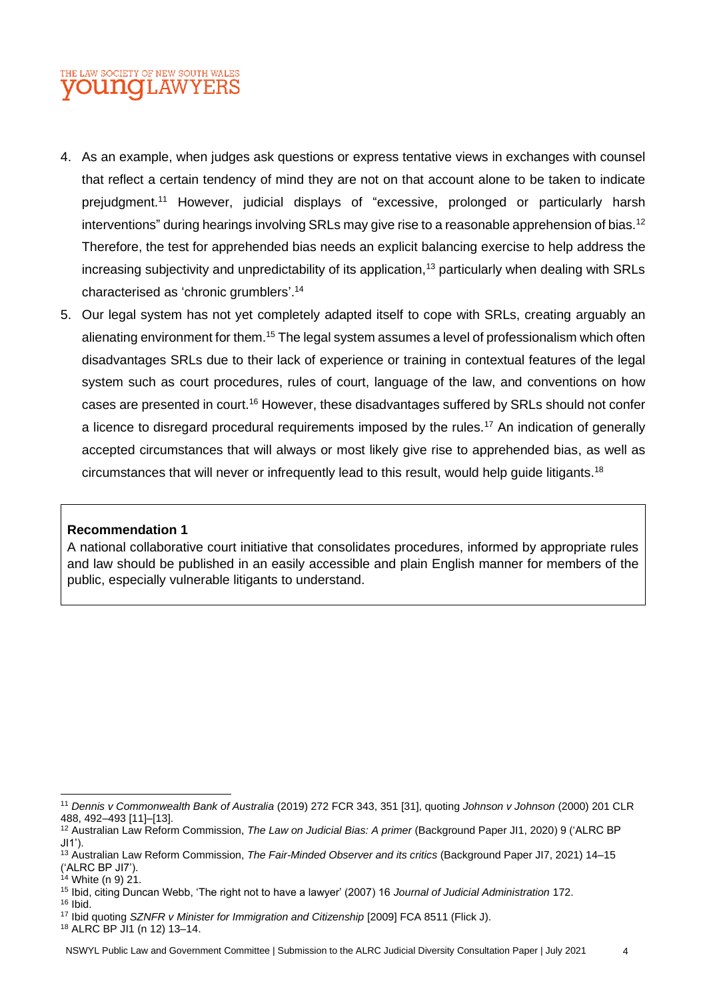- <span id="page-3-0"></span>4. As an example, when judges ask questions or express tentative views in exchanges with counsel that reflect a certain tendency of mind they are not on that account alone to be taken to indicate prejudgment.<sup>11</sup> However, judicial displays of "excessive, prolonged or particularly harsh interventions" during hearings involving SRLs may give rise to a reasonable apprehension of bias.<sup>12</sup> Therefore, the test for apprehended bias needs an explicit balancing exercise to help address the increasing subjectivity and unpredictability of its application,<sup>13</sup> particularly when dealing with SRLs characterised as 'chronic grumblers'. 14
- 5. Our legal system has not yet completely adapted itself to cope with SRLs, creating arguably an alienating environment for them.<sup>15</sup> The legal system assumes a level of professionalism which often disadvantages SRLs due to their lack of experience or training in contextual features of the legal system such as court procedures, rules of court, language of the law, and conventions on how cases are presented in court.<sup>16</sup> However, these disadvantages suffered by SRLs should not confer a licence to disregard procedural requirements imposed by the rules.<sup>17</sup> An indication of generally accepted circumstances that will always or most likely give rise to apprehended bias, as well as circumstances that will never or infrequently lead to this result, would help guide litigants.<sup>18</sup>

#### **Recommendation 1**

A national collaborative court initiative that consolidates procedures, informed by appropriate rules and law should be published in an easily accessible and plain English manner for members of the public, especially vulnerable litigants to understand.

<sup>18</sup> ALRC BP JI1 (n [12\)](#page-3-0) 13–14.

<sup>11</sup> *Dennis v Commonwealth Bank of Australia* (2019) 272 FCR 343, 351 [31], quoting *Johnson v Johnson* (2000) 201 CLR 488, 492–493 [11]–[13].

<sup>12</sup> Australian Law Reform Commission, *The Law on Judicial Bias: A primer* (Background Paper JI1, 2020) 9 ('ALRC BP JI1').

<sup>13</sup> Australian Law Reform Commission, *The Fair-Minded Observer and its critics* (Background Paper JI7, 2021) 14–15 ('ALRC BP JI7').

 $14$  White (n 9) 21.

<sup>15</sup> Ibid, citing Duncan Webb, 'The right not to have a lawyer' (2007) 16 *Journal of Judicial Administration* 172.

<sup>16</sup> Ibid.

<sup>&</sup>lt;sup>17</sup> Ibid quoting *SZNFR v Minister for Immigration and Citizenship* [2009] FCA 8511 (Flick J).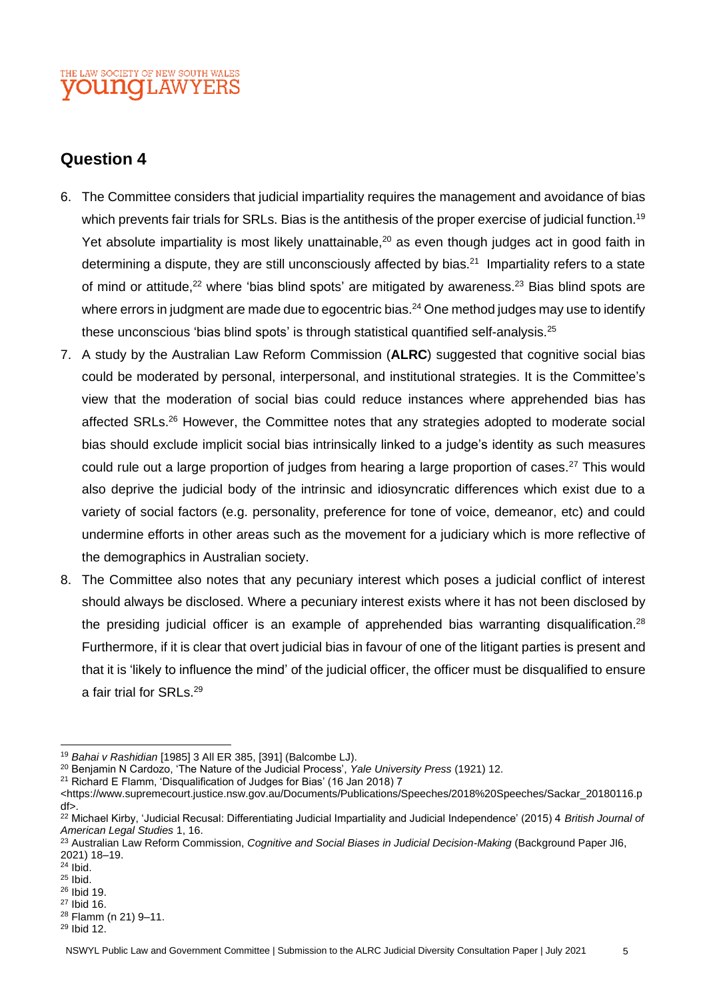# **Question 4**

- <span id="page-4-0"></span>6. The Committee considers that judicial impartiality requires the management and avoidance of bias which prevents fair trials for SRLs. Bias is the antithesis of the proper exercise of judicial function.<sup>19</sup> Yet absolute impartiality is most likely unattainable,<sup>20</sup> as even though judges act in good faith in determining a dispute, they are still unconsciously affected by bias.<sup>21</sup> Impartiality refers to a state of mind or attitude,<sup>22</sup> where 'bias blind spots' are mitigated by awareness.<sup>23</sup> Bias blind spots are where errors in judgment are made due to egocentric bias. $^{24}$  One method judges may use to identify these unconscious 'bias blind spots' is through statistical quantified self-analysis.<sup>25</sup>
- <span id="page-4-1"></span>7. A study by the Australian Law Reform Commission (**ALRC**) suggested that cognitive social bias could be moderated by personal, interpersonal, and institutional strategies. It is the Committee's view that the moderation of social bias could reduce instances where apprehended bias has affected SRLs.<sup>26</sup> However, the Committee notes that any strategies adopted to moderate social bias should exclude implicit social bias intrinsically linked to a judge's identity as such measures could rule out a large proportion of judges from hearing a large proportion of cases.<sup>27</sup> This would also deprive the judicial body of the intrinsic and idiosyncratic differences which exist due to a variety of social factors (e.g. personality, preference for tone of voice, demeanor, etc) and could undermine efforts in other areas such as the movement for a judiciary which is more reflective of the demographics in Australian society.
- 8. The Committee also notes that any pecuniary interest which poses a judicial conflict of interest should always be disclosed. Where a pecuniary interest exists where it has not been disclosed by the presiding judicial officer is an example of apprehended bias warranting disqualification.<sup>28</sup> Furthermore, if it is clear that overt judicial bias in favour of one of the litigant parties is present and that it is 'likely to influence the mind' of the judicial officer, the officer must be disqualified to ensure a fair trial for SRLs.<sup>29</sup>

<sup>29</sup> Ibid 12.

<sup>19</sup> *Bahai v Rashidian* [1985] 3 All ER 385, [391] (Balcombe LJ).

<sup>20</sup> Benjamin N Cardozo, 'The Nature of the Judicial Process', *Yale University Press* (1921) 12.

<sup>21</sup> Richard E Flamm, 'Disqualification of Judges for Bias' (16 Jan 2018) 7

<sup>&</sup>lt;https://www.supremecourt.justice.nsw.gov.au/Documents/Publications/Speeches/2018%20Speeches/Sackar\_20180116.p df>.

<sup>22</sup> Michael Kirby, 'Judicial Recusal: Differentiating Judicial Impartiality and Judicial Independence' (2015) 4 *British Journal of American Legal Studies* 1, 16.

<sup>23</sup> Australian Law Reform Commission, *Cognitive and Social Biases in Judicial Decision-Making* (Background Paper JI6, 2021) 18–19.

<sup>24</sup> Ibid.

<sup>25</sup> Ibid.

<sup>26</sup> Ibid 19.

<sup>27</sup> Ibid 16. <sup>28</sup> Flamm ([n 21\)](#page-4-0) 9–11.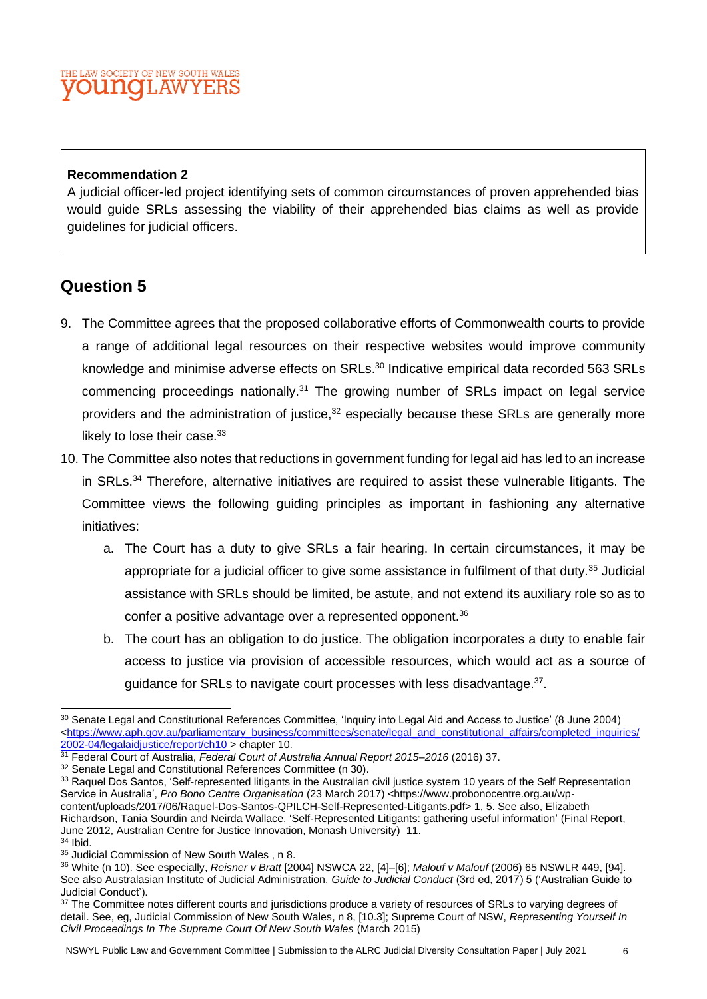### **Recommendation 2**

A judicial officer-led project identifying sets of common circumstances of proven apprehended bias would guide SRLs assessing the viability of their apprehended bias claims as well as provide guidelines for judicial officers.

# **Question 5**

- <span id="page-5-0"></span>9. The Committee agrees that the proposed collaborative efforts of Commonwealth courts to provide a range of additional legal resources on their respective websites would improve community knowledge and minimise adverse effects on SRLs.<sup>30</sup> Indicative empirical data recorded 563 SRLs commencing proceedings nationally.<sup>31</sup> The growing number of SRLs impact on legal service providers and the administration of justice,<sup>32</sup> especially because these SRLs are generally more likely to lose their case.<sup>33</sup>
- 10. The Committee also notes that reductions in government funding for legal aid has led to an increase in SRLs.<sup>34</sup> Therefore, alternative initiatives are required to assist these vulnerable litigants. The Committee views the following guiding principles as important in fashioning any alternative initiatives:
	- a. The Court has a duty to give SRLs a fair hearing. In certain circumstances, it may be appropriate for a judicial officer to give some assistance in fulfilment of that duty.<sup>35</sup> Judicial assistance with SRLs should be limited, be astute, and not extend its auxiliary role so as to confer a positive advantage over a represented opponent.<sup>36</sup>
	- b. The court has an obligation to do justice. The obligation incorporates a duty to enable fair access to justice via provision of accessible resources, which would act as a source of guidance for SRLs to navigate court processes with less disadvantage.<sup>37</sup>.

<span id="page-5-1"></span><sup>30</sup> Senate Legal and Constitutional References Committee, 'Inquiry into Legal Aid and Access to Justice' (8 June 2004) [<https://www.aph.gov.au/parliamentary\\_business/committees/senate/legal\\_and\\_constitutional\\_affairs/completed\\_inquiries/](https://www.aph.gov.au/parliamentary_business/committees/senate/legal_and_constitutional_affairs/completed_inquiries/2002-04/legalaidjustice/report/ch10) [2002-04/legalaidjustice/report/ch10 >](https://www.aph.gov.au/parliamentary_business/committees/senate/legal_and_constitutional_affairs/completed_inquiries/2002-04/legalaidjustice/report/ch10) chapter 10.

<sup>31</sup> Federal Court of Australia, *Federal Court of Australia Annual Report 2015–2016* (2016) 37.

<sup>&</sup>lt;sup>32</sup> Senate Legal and Constitutional References Committee (n [30\)](#page-5-0).

<sup>33</sup> Raquel Dos Santos, 'Self-represented litigants in the Australian civil justice system 10 years of the Self Representation Service in Australia', *Pro Bono Centre Organisation* (23 March 2017) <https://www.probonocentre.org.au/wpcontent/uploads/2017/06/Raquel-Dos-Santos-QPILCH-Self-Represented-Litigants.pdf> 1, 5. See also, Elizabeth Richardson, Tania Sourdin and Neirda Wallace, 'Self-Represented Litigants: gathering useful information' (Final Report, June 2012, Australian Centre for Justice Innovation, Monash University) 11.

 $34$  Ibid.

<sup>35</sup> Judicial Commission of New South Wales, n [8.](#page-2-0)

<sup>36</sup> White (n 10). See especially, *Reisner v Bratt* [2004] NSWCA 22, [4]–[6]; *Malouf v Malouf* (2006) 65 NSWLR 449, [94]. See also Australasian Institute of Judicial Administration, *Guide to Judicial Conduct* (3rd ed, 2017) 5 ('Australian Guide to Judicial Conduct').

<sup>37</sup> The Committee notes different courts and jurisdictions produce a variety of resources of SRLs to varying degrees of detail. See, eg, Judicial Commission of New South Wales, n [8,](#page-2-0) [10.3]; Supreme Court of NSW, *Representing Yourself In Civil Proceedings In The Supreme Court Of New South Wales* (March 2015)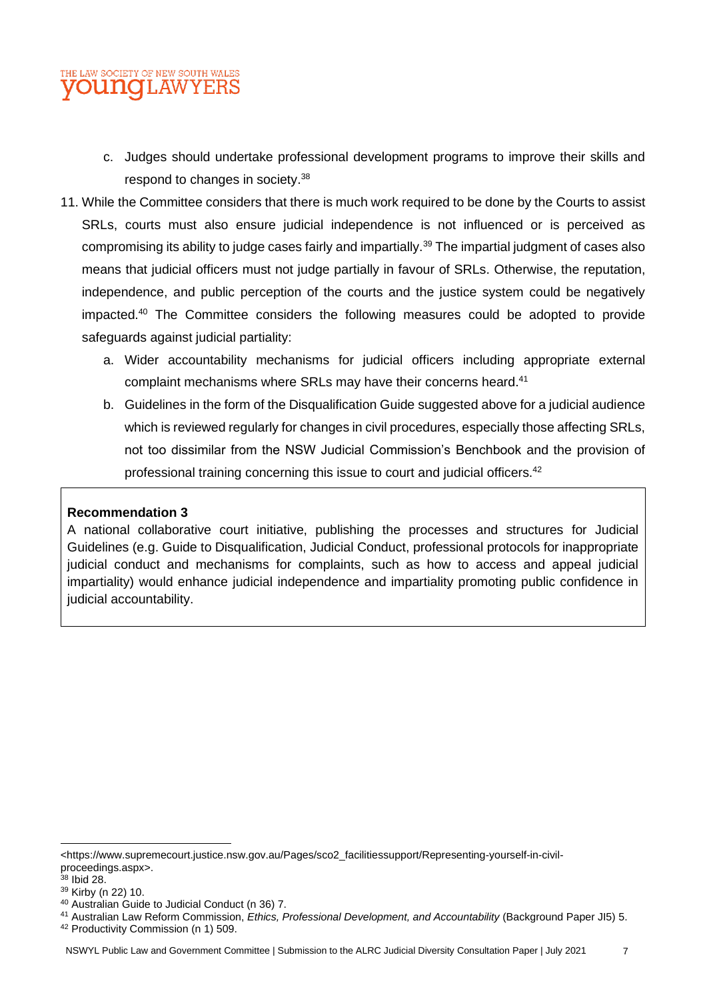- c. Judges should undertake professional development programs to improve their skills and respond to changes in society.<sup>38</sup>
- 11. While the Committee considers that there is much work required to be done by the Courts to assist SRLs, courts must also ensure judicial independence is not influenced or is perceived as compromising its ability to judge cases fairly and impartially.<sup>39</sup> The impartial judgment of cases also means that judicial officers must not judge partially in favour of SRLs. Otherwise, the reputation, independence, and public perception of the courts and the justice system could be negatively impacted.<sup>40</sup> The Committee considers the following measures could be adopted to provide safeguards against judicial partiality:
	- a. Wider accountability mechanisms for judicial officers including appropriate external complaint mechanisms where SRLs may have their concerns heard.<sup>41</sup>
	- b. Guidelines in the form of the Disqualification Guide suggested above for a judicial audience which is reviewed regularly for changes in civil procedures, especially those affecting SRLs, not too dissimilar from the NSW Judicial Commission's Benchbook and the provision of professional training concerning this issue to court and judicial officers.<sup>42</sup>

### **Recommendation 3**

A national collaborative court initiative, publishing the processes and structures for Judicial Guidelines (e.g. Guide to Disqualification, Judicial Conduct, professional protocols for inappropriate judicial conduct and mechanisms for complaints, such as how to access and appeal judicial impartiality) would enhance judicial independence and impartiality promoting public confidence in judicial accountability.

<sup>&</sup>lt;https://www.supremecourt.justice.nsw.gov.au/Pages/sco2\_facilitiessupport/Representing-yourself-in-civilproceedings.aspx>.

 $38$  Ibid 28.

<sup>39</sup> Kirby ([n 22\)](#page-4-1) 10.

<sup>40</sup> Australian Guide to Judicial Conduct (n [36\)](#page-5-1) 7.

<sup>41</sup> Australian Law Reform Commission, *Ethics, Professional Development, and Accountability* (Background Paper JI5) 5.

<sup>42</sup> Productivity Commission ([n 1\)](#page-2-1) 509.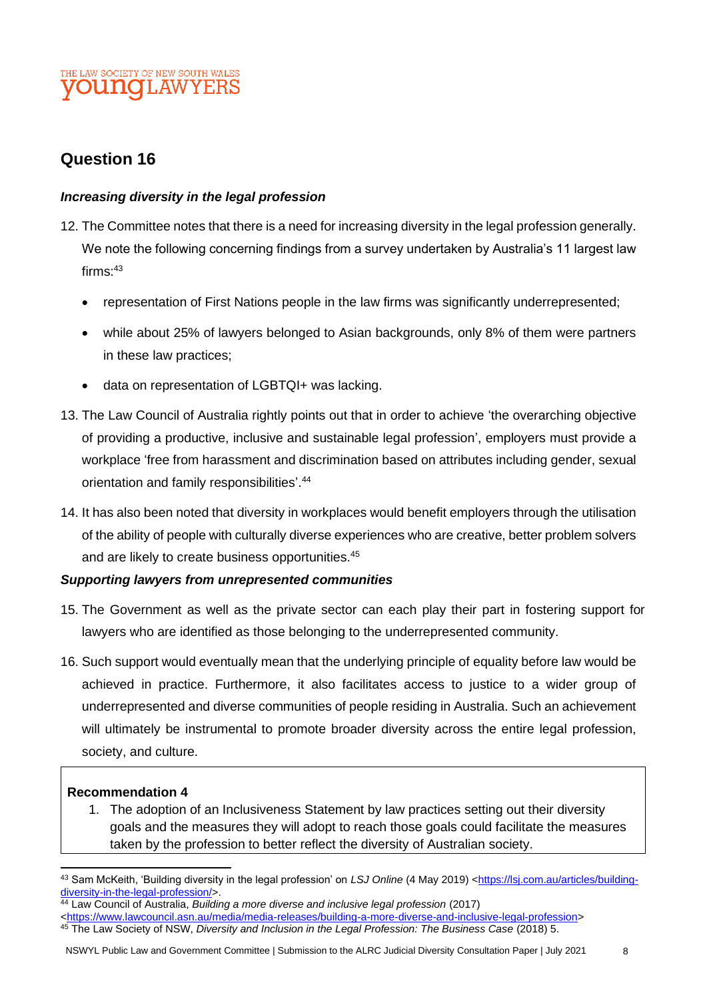# **Question 16**

### *Increasing diversity in the legal profession*

- 12. The Committee notes that there is a need for increasing diversity in the legal profession generally. We note the following concerning findings from a survey undertaken by Australia's 11 largest law  $f$ irms $.43$ 
	- representation of First Nations people in the law firms was significantly underrepresented;
	- while about 25% of lawyers belonged to Asian backgrounds, only 8% of them were partners in these law practices;
	- data on representation of LGBTQI+ was lacking.
- 13. The Law Council of Australia rightly points out that in order to achieve 'the overarching objective of providing a productive, inclusive and sustainable legal profession', employers must provide a workplace 'free from harassment and discrimination based on attributes including gender, sexual orientation and family responsibilities'. 44
- 14. It has also been noted that diversity in workplaces would benefit employers through the utilisation of the ability of people with culturally diverse experiences who are creative, better problem solvers and are likely to create business opportunities.<sup>45</sup>

### *Supporting lawyers from unrepresented communities*

- 15. The Government as well as the private sector can each play their part in fostering support for lawyers who are identified as those belonging to the underrepresented community.
- 16. Such support would eventually mean that the underlying principle of equality before law would be achieved in practice. Furthermore, it also facilitates access to justice to a wider group of underrepresented and diverse communities of people residing in Australia. Such an achievement will ultimately be instrumental to promote broader diversity across the entire legal profession, society, and culture.

### **Recommendation 4**

1. The adoption of an Inclusiveness Statement by law practices setting out their diversity goals and the measures they will adopt to reach those goals could facilitate the measures taken by the profession to better reflect the diversity of Australian society.

- [<https://www.lawcouncil.asn.au/media/media-releases/building-a-more-diverse-and-inclusive-legal-profession>](https://www.lawcouncil.asn.au/media/media-releases/building-a-more-diverse-and-inclusive-legal-profession) 45 The Law Society of NSW, *Diversity and Inclusion in the Legal Profession: The Business Case* (2018) 5.
- NSWYL Public Law and Government Committee | Submission to the ALRC Judicial Diversity Consultation Paper | July 2021 8

<sup>43</sup> Sam McKeith, 'Building diversity in the legal profession' on *LSJ Online* (4 May 2019) [<https://lsj.com.au/articles/building](https://lsj.com.au/articles/building-diversity-in-the-legal-profession/)[diversity-in-the-legal-profession/>](https://lsj.com.au/articles/building-diversity-in-the-legal-profession/).

<sup>44</sup> Law Council of Australia, *Building a more diverse and inclusive legal profession* (2017)